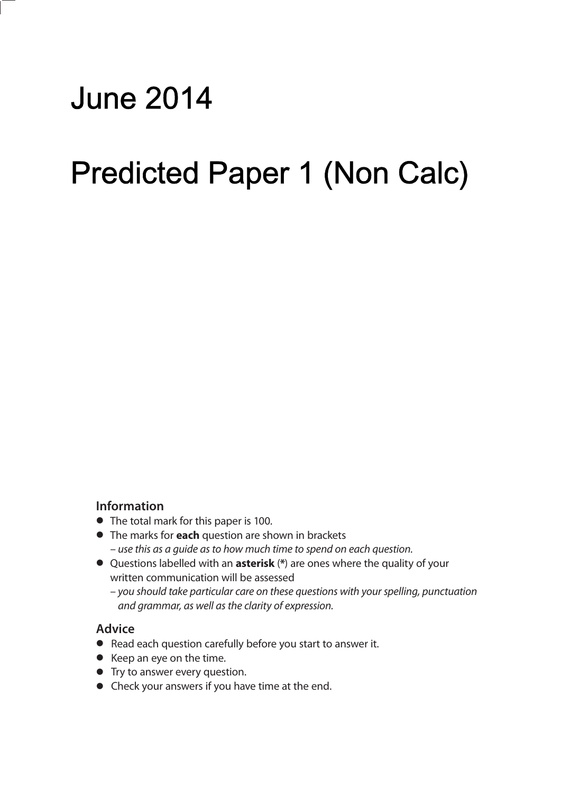# June 2014

### ا/ 1 Aicted Paner **Paper 2 (Calculator)** Predicted Paper 1 (Non Calc)

#### **Information**

- **•** The total mark for this paper is 100.
- **•** The marks for **each** question are shown in brackets – use this as a guide as to how much time to spend on each question.
- **•** Questions labelled with an **asterisk** (**\***) are ones where the quality of your written communication will be assessed
	- you should take particular care on these questions with your spelling, punctuation and grammar, as well as the clarity of expression.

#### **Advice**

- **•** Read each question carefully before you start to answer it.
- **•** Keep an eye on the time.
- **•** Try to answer every question.
- **•** Check your answers if you have time at the end.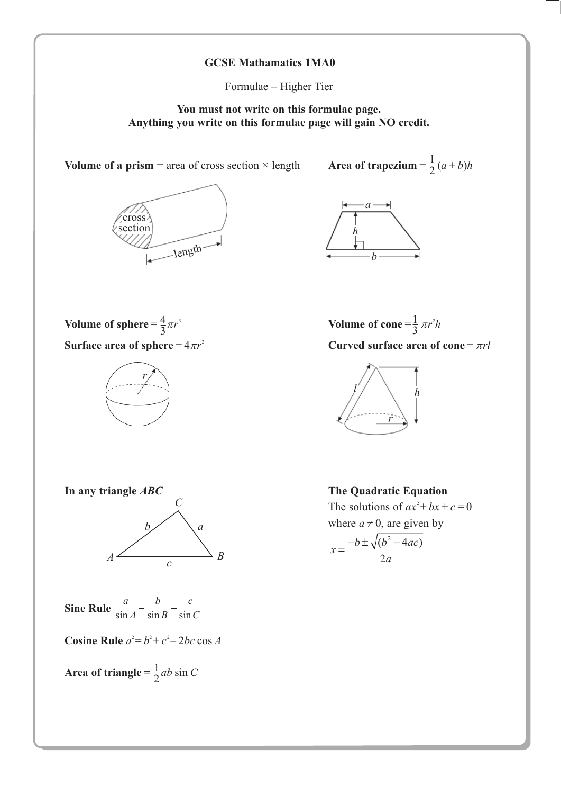#### **GCSE Mathamatics 1MA0**

Formulae – Higher Tier

**You must not write on this formulae page. Anything you write on this formulae page will gain NO credit.**

**Volume of a prism** = area of cross section  $\times$  length



1 2



**Volume of sphere** =  $\frac{4}{2}\pi r^3$ **Surface area of sphere** =  $4\pi r^2$ 3



Volume of cone =  $\frac{1}{2} \pi r^2 h$ **Curved surface area of cone** =  $\pi r l$ 3





**Sine Rule**  $\frac{a}{\sin A} = \frac{b}{\sin B} = \frac{c}{\sin B}$  $\sin A$   $\sin B$   $\sin C$ 

**Cosine Rule**  $a^2 = b^2 + c^2 - 2bc \cos A$ 

Area of triangle =  $\frac{1}{2}ab \sin C$ 2

**In any triangle** *ABC* **The Quadratic Equation**

 $\sum_{n=1}^{\infty}$  **The solutions of**  $ax^2 + bx + c = 0$ where  $a \neq 0$ , are given by

$$
x = \frac{-b \pm \sqrt{(b^2 - 4ac)}}{2a}
$$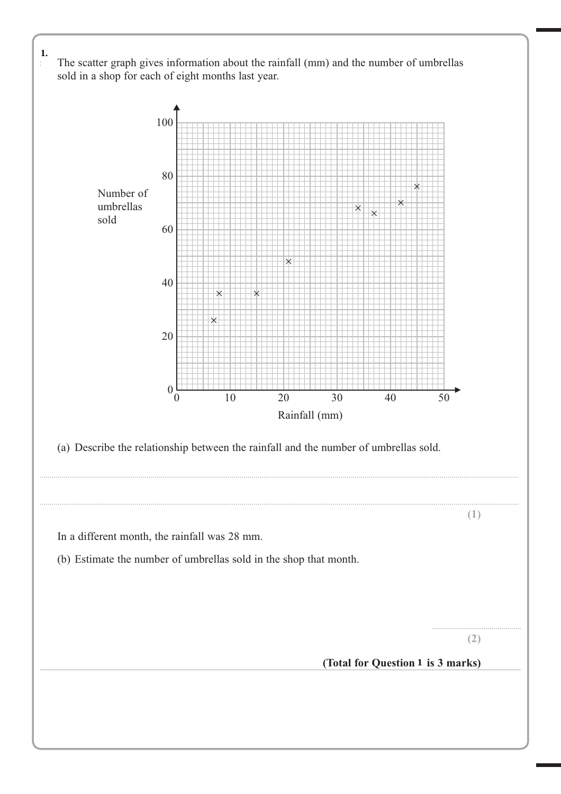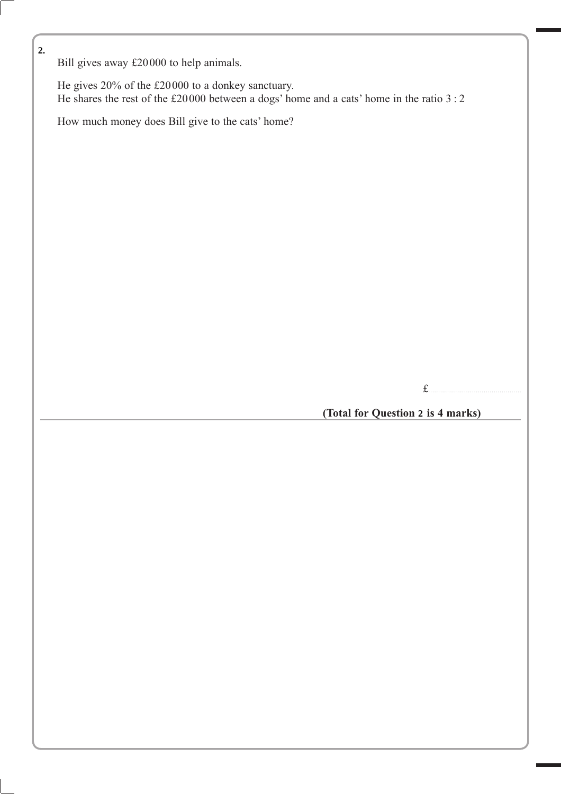Bill gives away £20000 to help animals.

 He gives 20% of the £20000 to a donkey sanctuary. He shares the rest of the £20000 between a dogs' home and a cats' home in the ratio 3 : 2

How much money does Bill give to the cats' home?

(Total for Question 2 is 4 marks)

£...............................................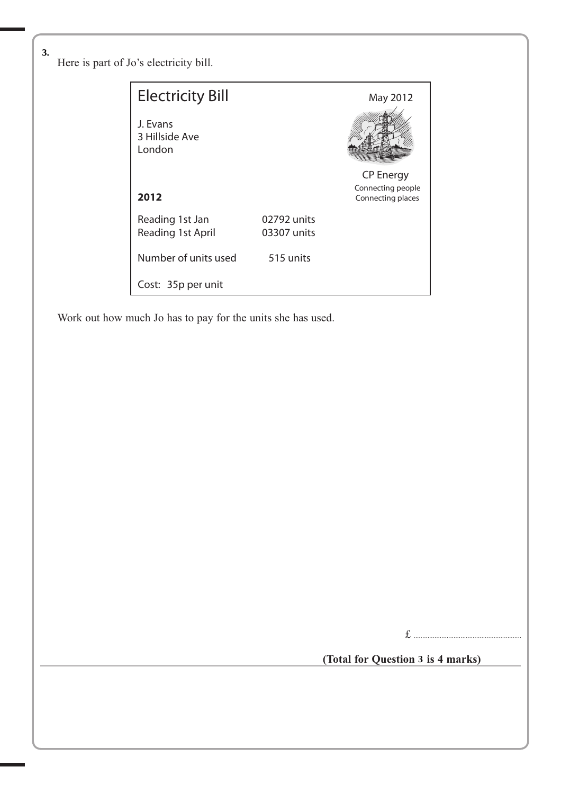**7** Here is part of Jo's electricity bill. **3.**

| <b>Electricity Bill</b>              |                            | May 2012                               |
|--------------------------------------|----------------------------|----------------------------------------|
| J. Evans<br>3 Hillside Ave<br>London |                            |                                        |
|                                      |                            | <b>CP Energy</b>                       |
| 2012                                 |                            | Connecting people<br>Connecting places |
| Reading 1st Jan<br>Reading 1st April | 02792 units<br>03307 units |                                        |
| Number of units used                 | 515 units                  |                                        |
| Cost: 35p per unit                   |                            |                                        |

Work out how much Jo has to pay for the units she has used.

£ ..............................................................

(Total for Question 3 is 4 marks)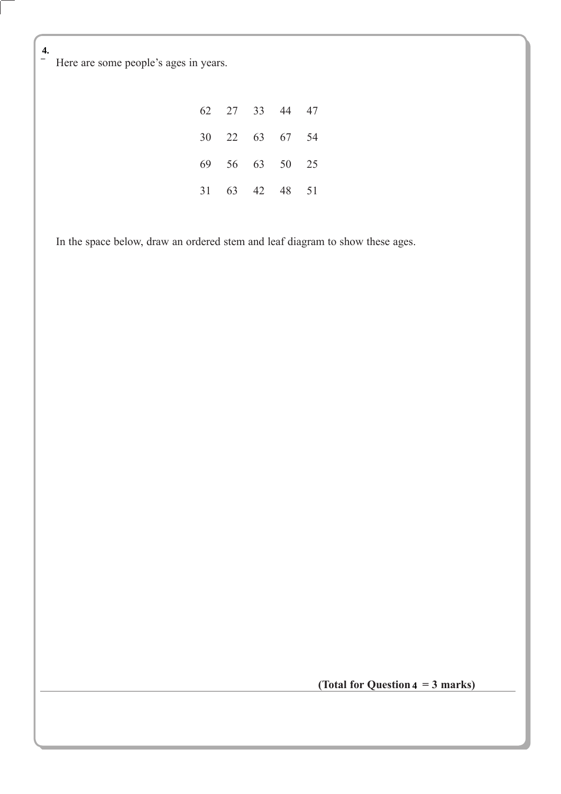Here are some people's ages in years.

|  | 62 27 33 44 47 |  |
|--|----------------|--|
|  | 30 22 63 67 54 |  |
|  | 69 56 63 50 25 |  |
|  | 31 63 42 48 51 |  |

In the space below, draw an ordered stem and leaf diagram to show these ages.

(Total for Question  $4 = 3$  marks)

**4.**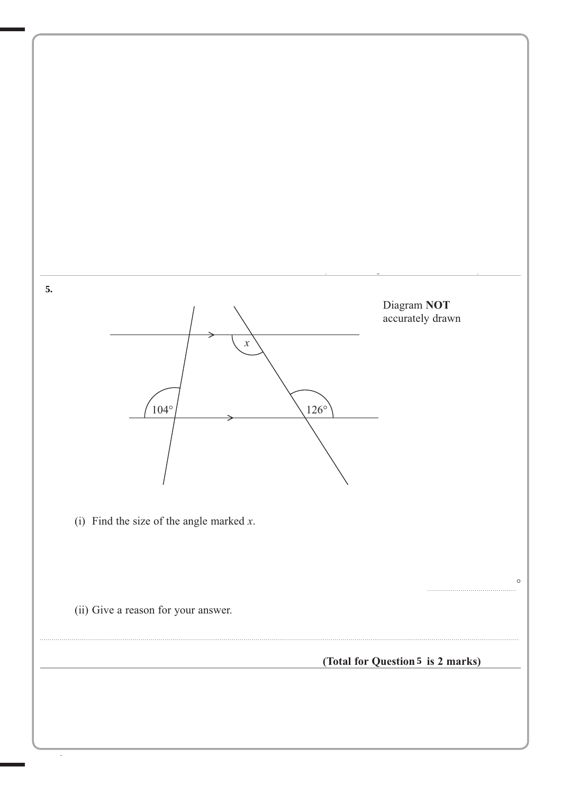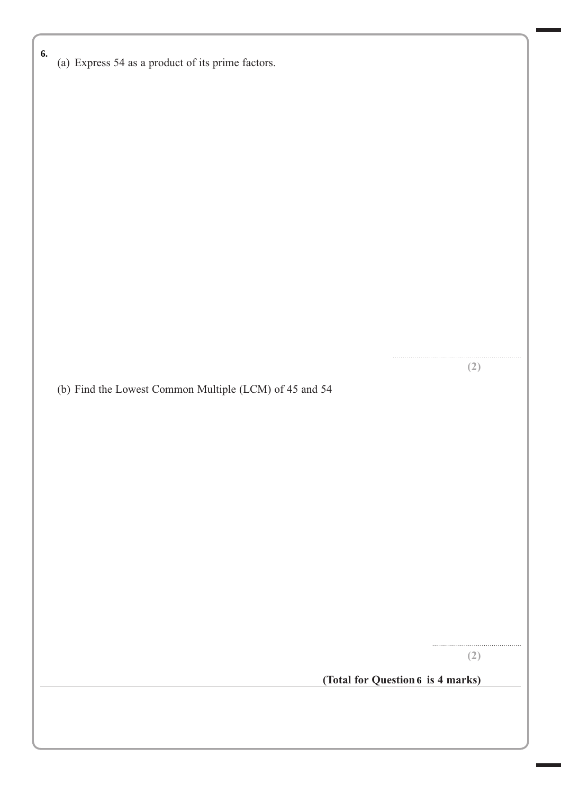| 6. | (a) Express 54 as a product of its prime factors.      |                                   |
|----|--------------------------------------------------------|-----------------------------------|
|    |                                                        |                                   |
|    |                                                        |                                   |
|    |                                                        |                                   |
|    |                                                        |                                   |
|    |                                                        |                                   |
|    |                                                        |                                   |
|    |                                                        |                                   |
|    | (b) Find the Lowest Common Multiple (LCM) of 45 and 54 | (2)                               |
|    |                                                        |                                   |
|    |                                                        |                                   |
|    |                                                        |                                   |
|    |                                                        |                                   |
|    |                                                        |                                   |
|    |                                                        |                                   |
|    |                                                        | (2)                               |
|    |                                                        | (Total for Question 6 is 4 marks) |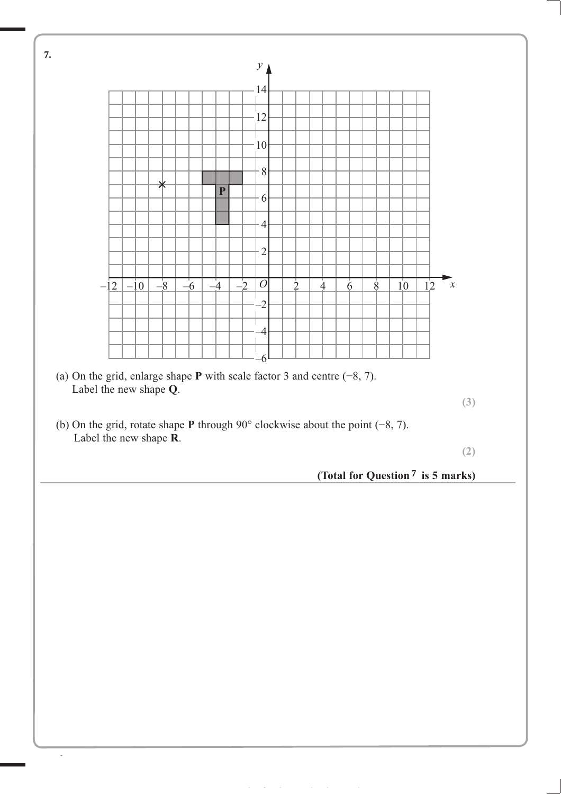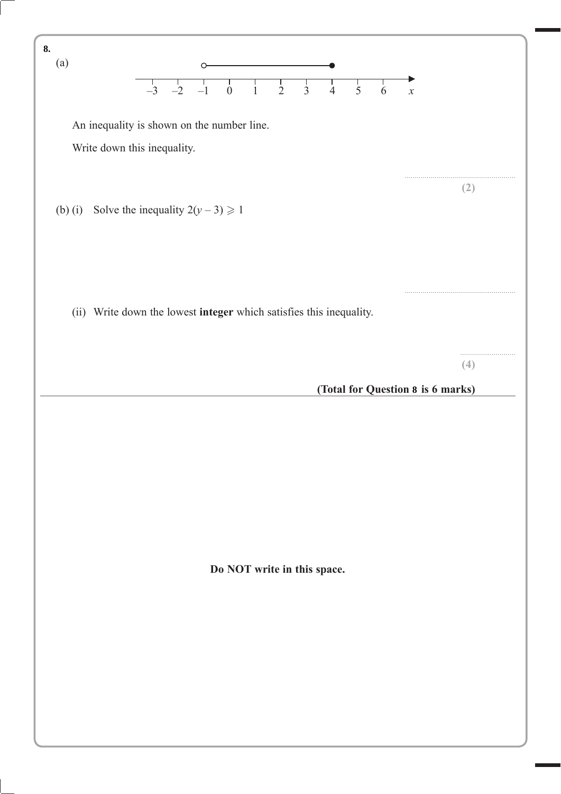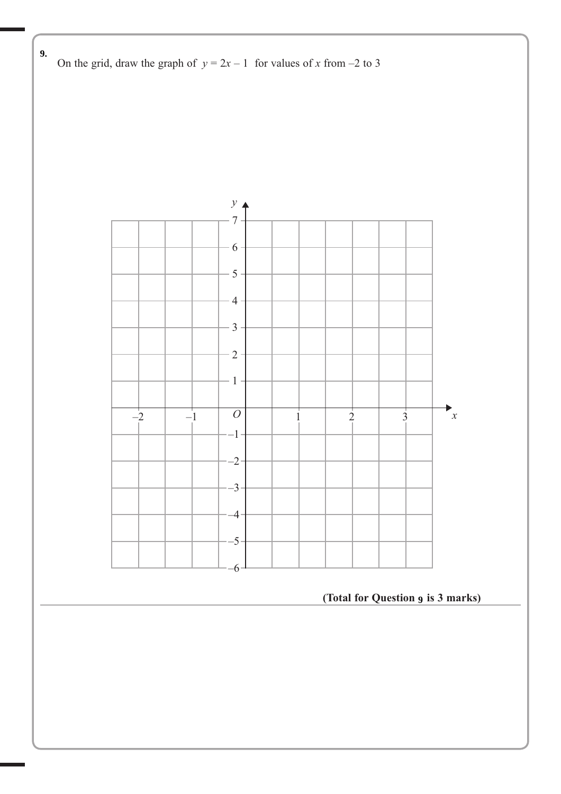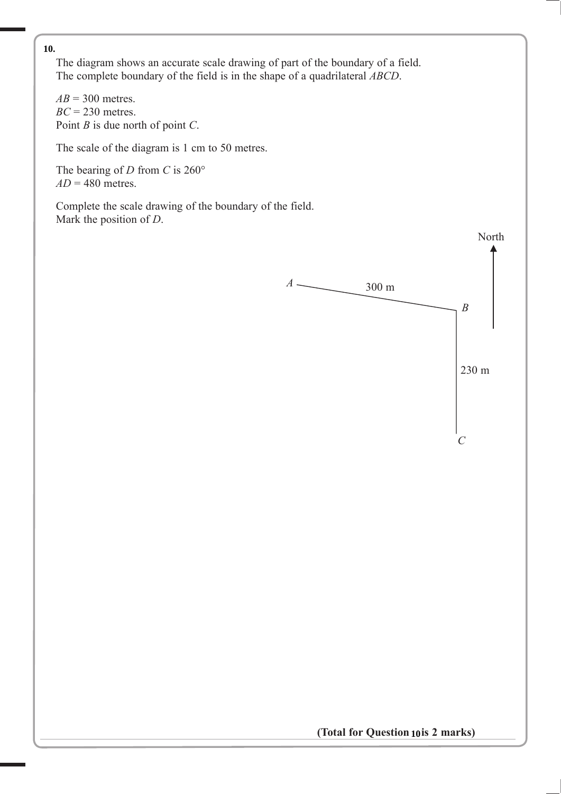The diagram shows an accurate scale drawing of part of the boundary of a field. The complete boundary of the field is in the shape of a quadrilateral *ABCD*.

 $AB = 300$  metres. *BC* = 230 metres. Point *B* is due north of point *C*.

The scale of the diagram is 1 cm to 50 metres.

 The bearing of *D* from *C* is 260°  $AD = 480$  metres.

 Complete the scale drawing of the boundary of the field. Mark the position of *D*.

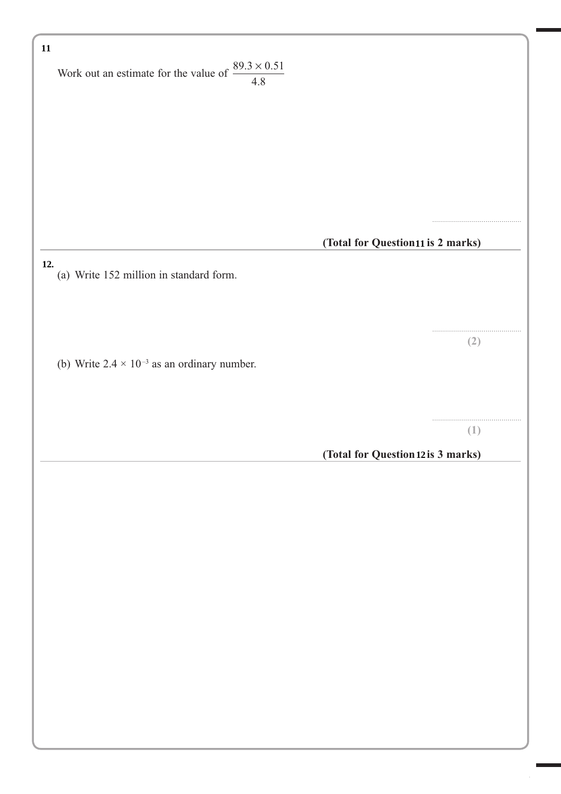| $11\,$                                                               |                                    |
|----------------------------------------------------------------------|------------------------------------|
| Work out an estimate for the value of $\frac{89.3 \times 0.51}{4.8}$ |                                    |
|                                                                      |                                    |
|                                                                      |                                    |
|                                                                      |                                    |
|                                                                      |                                    |
|                                                                      |                                    |
|                                                                      |                                    |
|                                                                      | (Total for Question11 is 2 marks)  |
| 12.<br>(a) Write 152 million in standard form.                       |                                    |
|                                                                      |                                    |
|                                                                      |                                    |
|                                                                      | (2)                                |
| (b) Write $2.4 \times 10^{-3}$ as an ordinary number.                |                                    |
|                                                                      |                                    |
|                                                                      |                                    |
|                                                                      | (1)                                |
|                                                                      | (Total for Question 12 is 3 marks) |
|                                                                      |                                    |
|                                                                      |                                    |
|                                                                      |                                    |
|                                                                      |                                    |
|                                                                      |                                    |
|                                                                      |                                    |
|                                                                      |                                    |
|                                                                      |                                    |
|                                                                      |                                    |
|                                                                      |                                    |
|                                                                      |                                    |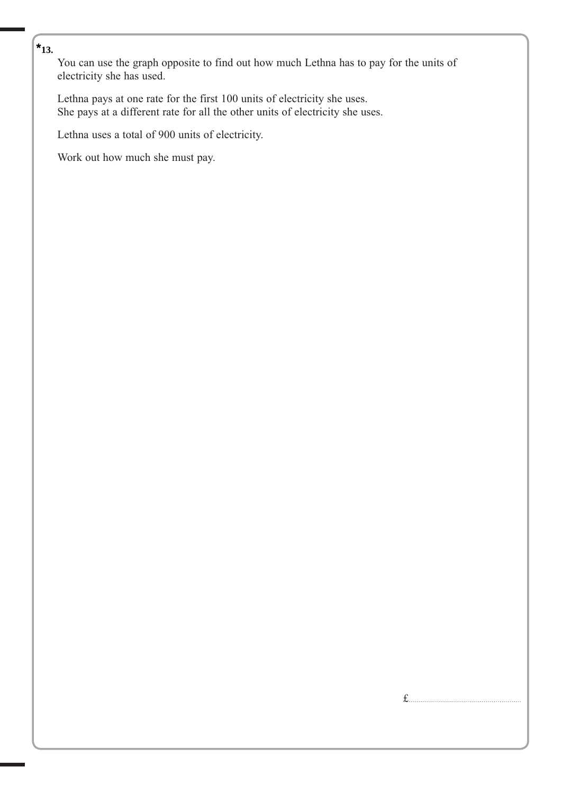## $\left| \star_{13.} \right|$

**5** You can use the graph opposite to find out how much Lethna has to pay for the units of electricity she has used.

 Lethna pays at one rate for the first 100 units of electricity she uses. She pays at a different rate for all the other units of electricity she uses.

Lethna uses a total of 900 units of electricity.

Work out how much she must pay.

£.........................................................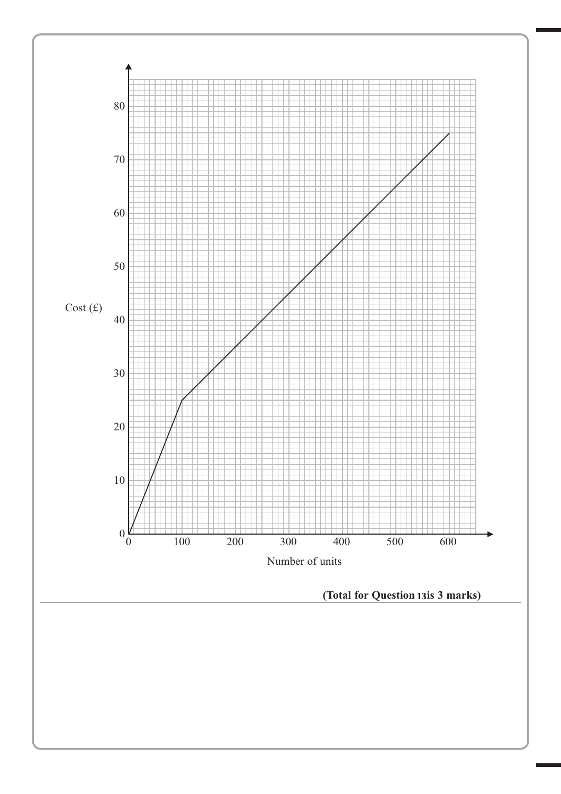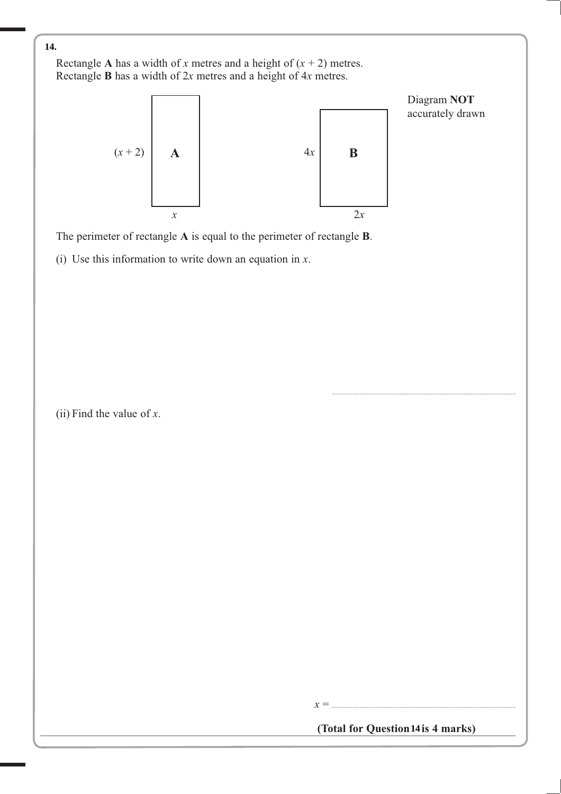Rectangle **A** has a width of *x* metres and a height of  $(x + 2)$  metres. Rectangle **B** has a width of 2*x* metres and a height of 4*x* metres.



The perimeter of rectangle **A** is equal to the perimeter of rectangle **B**.

(i) Use this information to write down an equation in *x*.

(ii) Find the value of *x*.

(Total for Question 14 is 4 marks)

*x* = ..........................................................................................................

..........................................................................................................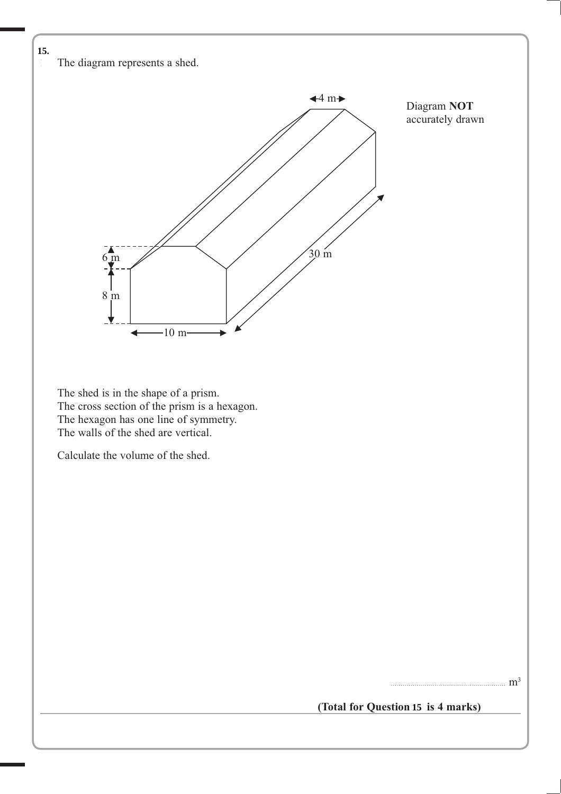The diagram represents a shed.



 The shed is in the shape of a prism. The cross section of the prism is a hexagon. The hexagon has one line of symmetry. The walls of the shed are vertical.

Calculate the volume of the shed.

.......................................................... m3

(Total for Question 15 is 4 marks)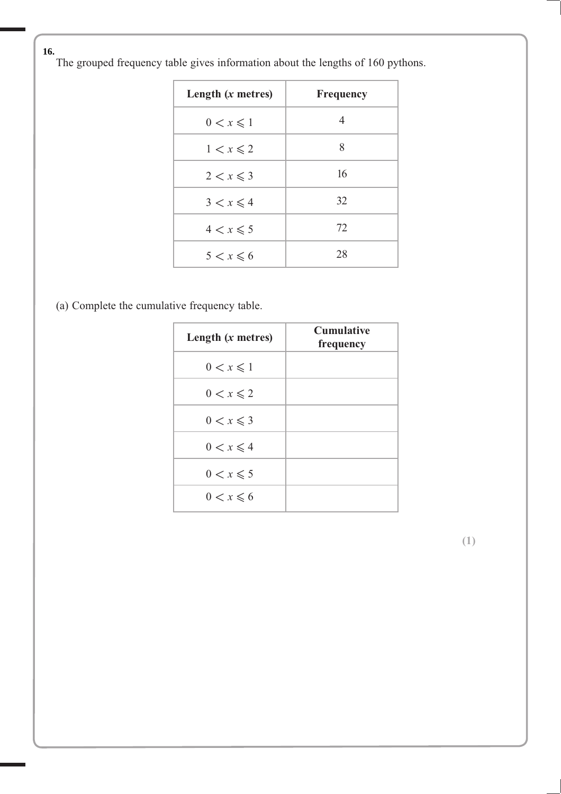**16** The grouped frequency table gives information about the lengths of 160 pythons. **16.**

| Length $(x$ metres) | <b>Frequency</b> |
|---------------------|------------------|
| $0 < x \leqslant 1$ | 4                |
| $1 < x \leqslant 2$ | 8                |
| $2 < x \leqslant 3$ | 16               |
| $3 < x \leqslant 4$ | 32               |
| $4 < x \leqslant 5$ | 72               |
| $5 < x \leqslant 6$ | 28               |

(a) Complete the cumulative frequency table.

| Length $(x$ metres) | <b>Cumulative</b><br>frequency |
|---------------------|--------------------------------|
| $0 < x \leqslant 1$ |                                |
| $0 < x \leqslant 2$ |                                |
| $0 < x \leqslant 3$ |                                |
| $0 < x \leqslant 4$ |                                |
| $0 < x \leqslant 5$ |                                |
| $0 < x \leqslant 6$ |                                |

**(1)**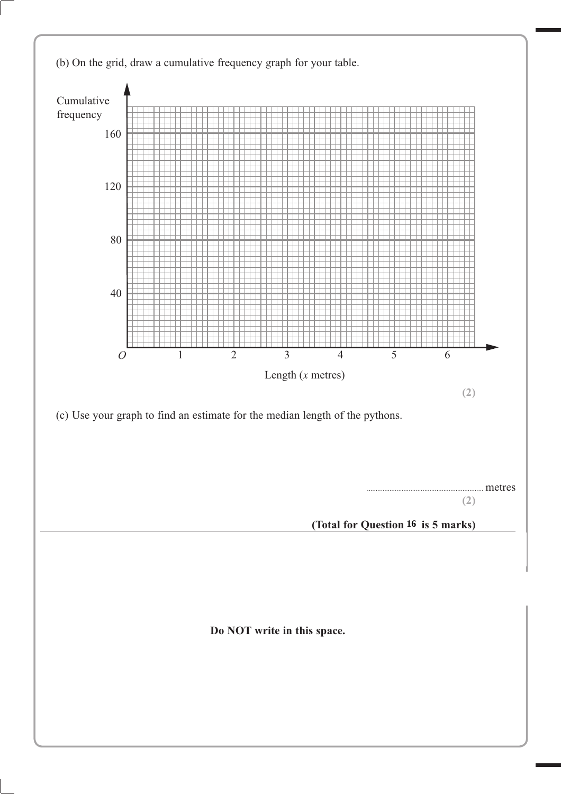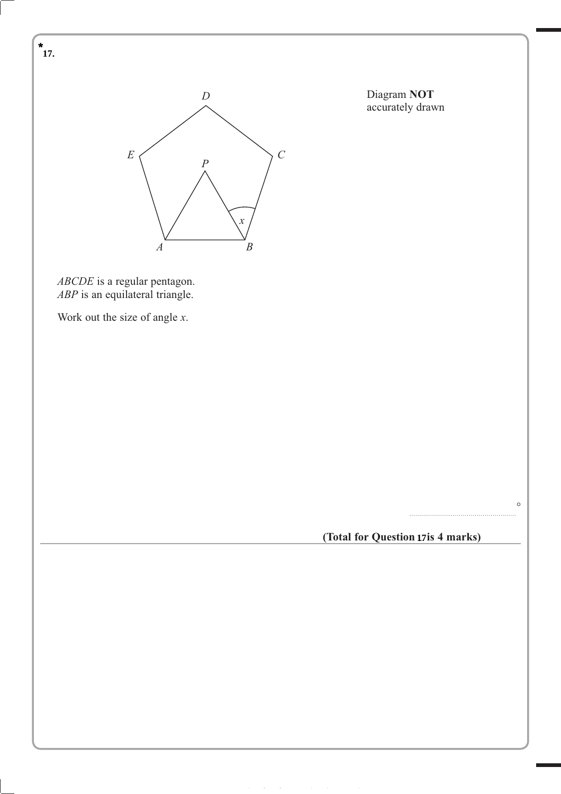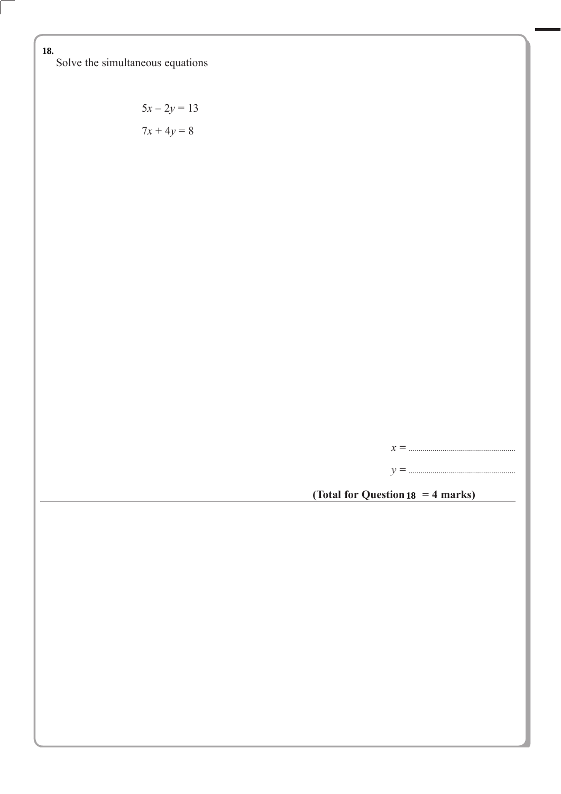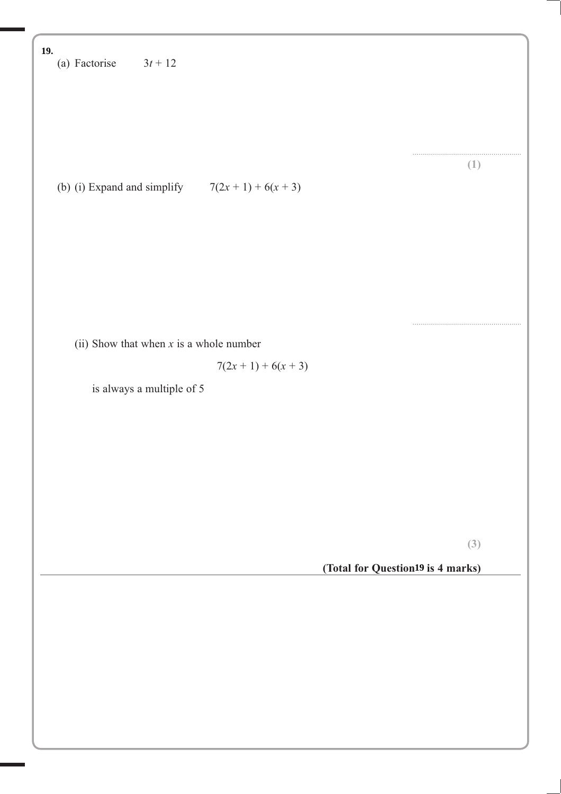(a) Factorise  $3t + 12$ ....................................................... **(1)** (b) (i) Expand and simplify  $7(2x + 1) + 6(x + 3)$ ....................................................... (ii) Show that when *x* is a whole number  $7(2x + 1) + 6(x + 3)$  is always a multiple of 5 **(3)** (Total for Question<sup>19</sup> is 4 marks) **19.**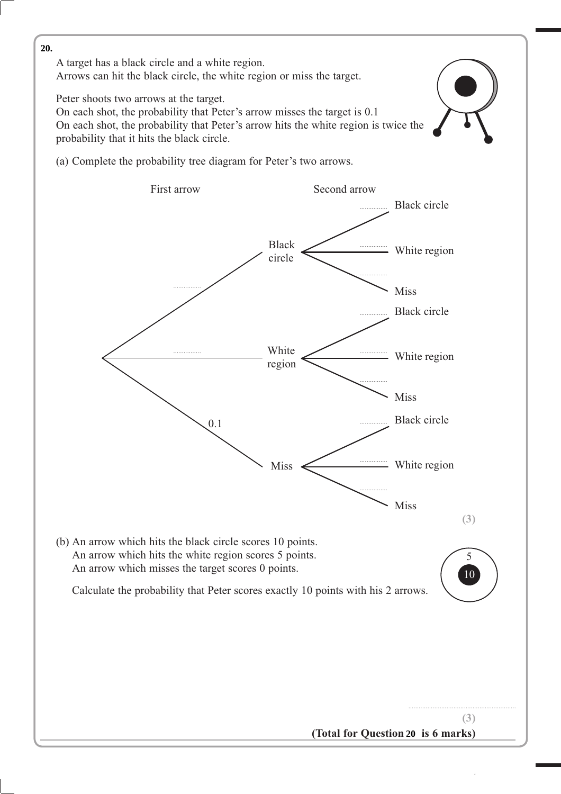**14** A target has a black circle and a white region. Arrows can hit the black circle, the white region or miss the target.

Peter shoots two arrows at the target.

 On each shot, the probability that Peter's arrow misses the target is 0.1 On each shot, the probability that Peter's arrow hits the white region is twice the probability that it hits the black circle.

![](_page_22_Picture_4.jpeg)

(a) Complete the probability tree diagram for Peter's two arrows.

![](_page_22_Figure_6.jpeg)

**<sup>13</sup>** \*P41038A01320\* *Turn over*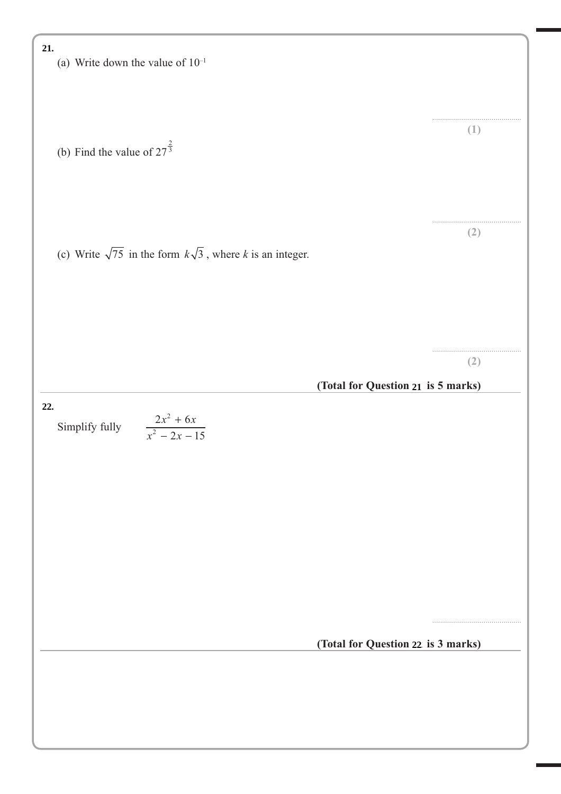![](_page_23_Figure_0.jpeg)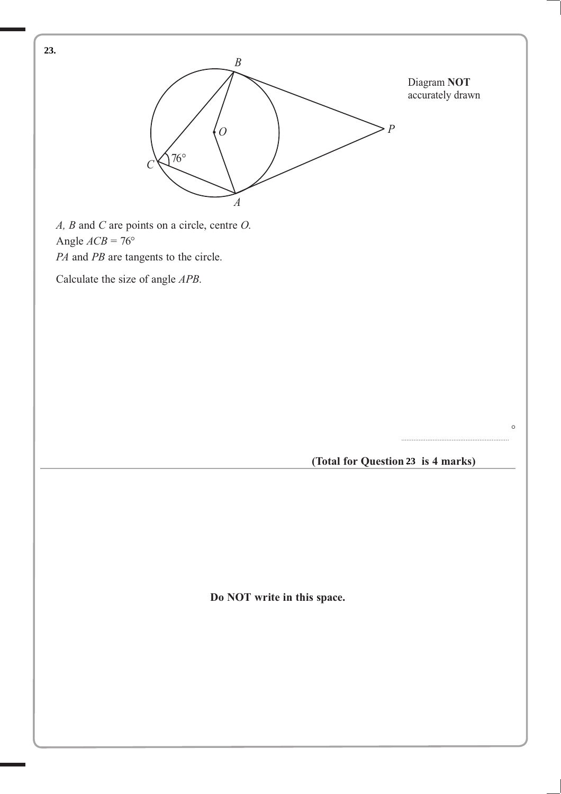![](_page_24_Figure_0.jpeg)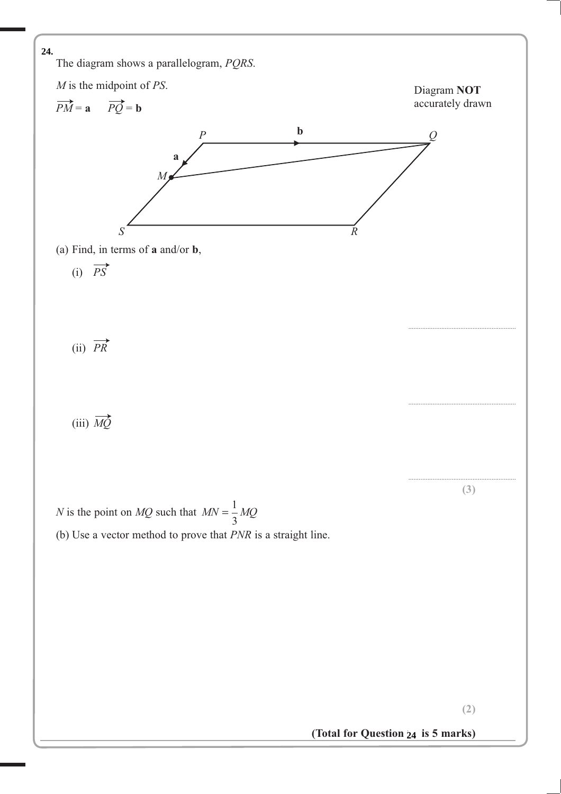![](_page_25_Figure_0.jpeg)

(Total for Question 24 is 5 marks)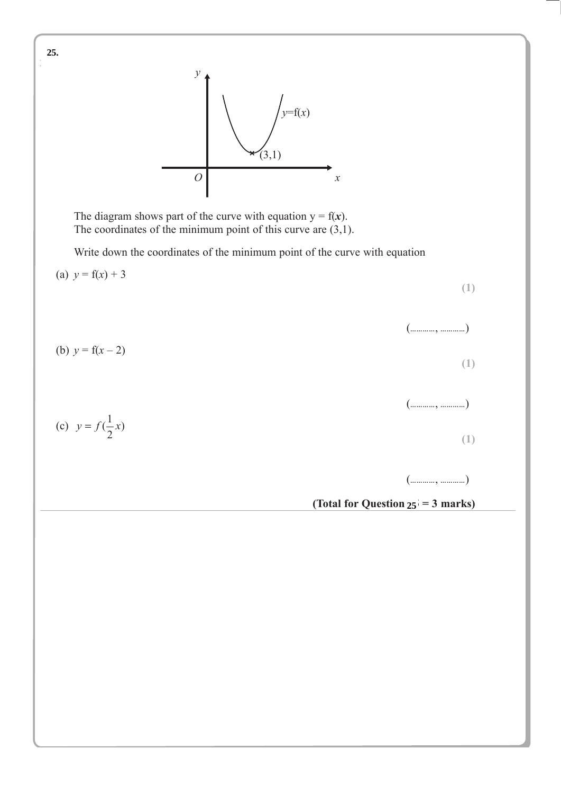![](_page_26_Figure_0.jpeg)

The diagram shows part of the curve with equation  $y = f(x)$ . The coordinates of the minimum point of this curve are (3,1).

Write down the coordinates of the minimum point of the curve with equation

![](_page_26_Figure_3.jpeg)

**25.**